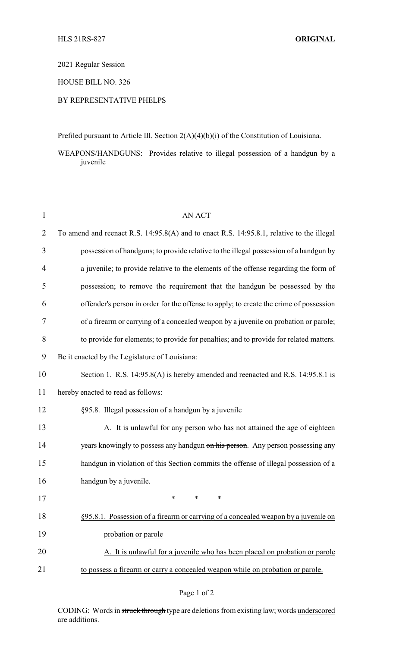2021 Regular Session

## HOUSE BILL NO. 326

## BY REPRESENTATIVE PHELPS

Prefiled pursuant to Article III, Section 2(A)(4)(b)(i) of the Constitution of Louisiana.

WEAPONS/HANDGUNS: Provides relative to illegal possession of a handgun by a juvenile

| $\mathbf{1}$   | <b>AN ACT</b>                                                                             |
|----------------|-------------------------------------------------------------------------------------------|
| $\overline{2}$ | To amend and reenact R.S. 14:95.8(A) and to enact R.S. 14:95.8.1, relative to the illegal |
| 3              | possession of handguns; to provide relative to the illegal possession of a handgun by     |
| $\overline{4}$ | a juvenile; to provide relative to the elements of the offense regarding the form of      |
| 5              | possession; to remove the requirement that the handgun be possessed by the                |
| 6              | offender's person in order for the offense to apply; to create the crime of possession    |
| 7              | of a firearm or carrying of a concealed weapon by a juvenile on probation or parole;      |
| 8              | to provide for elements; to provide for penalties; and to provide for related matters.    |
| 9              | Be it enacted by the Legislature of Louisiana:                                            |
| 10             | Section 1. R.S. 14:95.8(A) is hereby amended and reenacted and R.S. 14:95.8.1 is          |
| 11             | hereby enacted to read as follows:                                                        |
| 12             | §95.8. Illegal possession of a handgun by a juvenile                                      |
| 13             | A. It is unlawful for any person who has not attained the age of eighteen                 |
| 14             | years knowingly to possess any handgun on his person. Any person possessing any           |
| 15             | handgun in violation of this Section commits the offense of illegal possession of a       |
| 16             | handgun by a juvenile.                                                                    |
| 17             | ∗<br>∗<br>∗                                                                               |
| 18             | §95.8.1. Possession of a firearm or carrying of a concealed weapon by a juvenile on       |
| 19             | probation or parole                                                                       |
| 20             | A. It is unlawful for a juvenile who has been placed on probation or parole               |
| 21             | to possess a firearm or carry a concealed weapon while on probation or parole.            |

CODING: Words in struck through type are deletions from existing law; words underscored are additions.